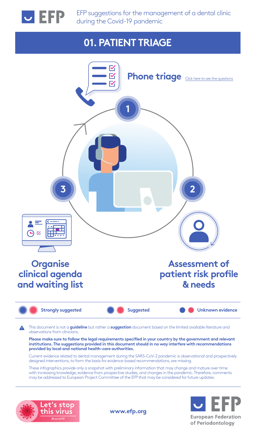<span id="page-0-0"></span>

EFP suggestions for the management of a dental clinic during the Covid-19 pandemic

### **01. PATIENT TRIAGE**



may be addressed to European Project Committee of the EFP that may be considered for future updates.





**www.efp.org**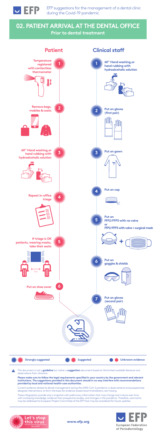## **02. PATIENT ARRIVAL AT THE DENTAL OFFICE Prior to dental treatment**



EFP suggestions for the management of a dental clinic during the Covid-19 pandemic





This document is not a **guideline** but rather a **suggestion** document based on the limited available literature and  $\blacktriangle$ observations from clinicians.

**Please make sure to follow the legal requirements specified in your country by the government and relevant institutions. The suggestions provided in this document should in no way interfere with recommendations provided by local and national health-care authorities.**



Current evidence related to dental management during the SARS-CoV-2 pandemic is observational and prospectively designed interventions, to form the basis for evidence-based recommendations, are missing.

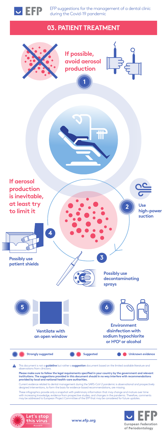## **03. PATIENT TREATMENT**



EFP suggestions for the management of a dental clinic during the Covid-19 pandemic

**www.efp.org**



This document is not a **guideline** but rather a **suggestion** document based on the limited available literature and observations from clinicians.

**Please make sure to follow the legal requirements specified in your country by the government and relevant institutions. The suggestions provided in this document should in no way interfere with recommendations provided by local and national health-care authorities.**



Current evidence related to dental management during the SARS-CoV-2 pandemic is observational and prospectively designed interventions, to form the basis for evidence-based recommendations, are missing.

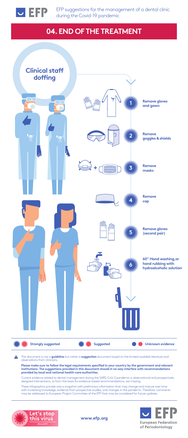# **04. END OF THE TREATMENT**



EFP suggestions for the management of a dental clinic during the Covid-19 pandemic

**www.efp.org**



This document is not a **guideline** but rather a **suggestion** document based on the limited available literature and A observations from clinicians.

**Please make sure to follow the legal requirements specified in your country by the government and relevant institutions. The suggestions provided in this document should in no way interfere with recommendations provided by local and national health-care authorities.**

Current evidence related to dental management during the SARS-CoV-2 pandemic is observational and prospectively designed interventions, to form the basis for evidence-based recommendations, are missing.